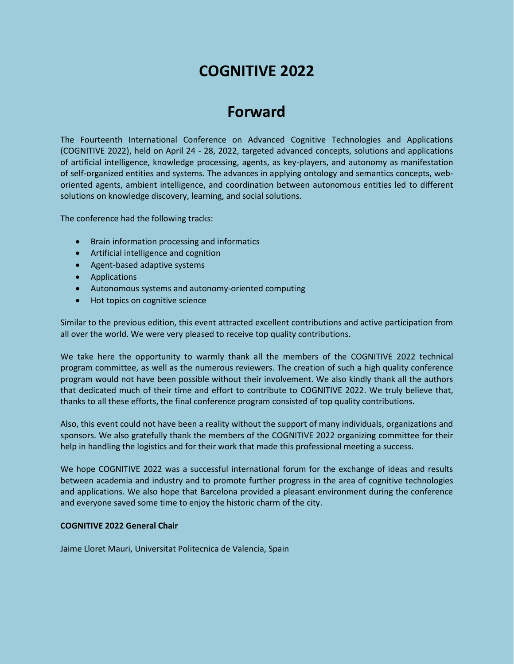# **COGNITIVE 2022**

# **Forward**

The Fourteenth International Conference on Advanced Cognitive Technologies and Applications (COGNITIVE 2022), held on April 24 - 28, 2022, targeted advanced concepts, solutions and applications of artificial intelligence, knowledge processing, agents, as key-players, and autonomy as manifestation of self-organized entities and systems. The advances in applying ontology and semantics concepts, weboriented agents, ambient intelligence, and coordination between autonomous entities led to different solutions on knowledge discovery, learning, and social solutions.

The conference had the following tracks:

- Brain information processing and informatics
- Artificial intelligence and cognition
- Agent-based adaptive systems
- **•** Applications
- Autonomous systems and autonomy-oriented computing
- Hot topics on cognitive science

Similar to the previous edition, this event attracted excellent contributions and active participation from all over the world. We were very pleased to receive top quality contributions.

We take here the opportunity to warmly thank all the members of the COGNITIVE 2022 technical program committee, as well as the numerous reviewers. The creation of such a high quality conference program would not have been possible without their involvement. We also kindly thank all the authors that dedicated much of their time and effort to contribute to COGNITIVE 2022. We truly believe that, thanks to all these efforts, the final conference program consisted of top quality contributions.

Also, this event could not have been a reality without the support of many individuals, organizations and sponsors. We also gratefully thank the members of the COGNITIVE 2022 organizing committee for their help in handling the logistics and for their work that made this professional meeting a success.

We hope COGNITIVE 2022 was a successful international forum for the exchange of ideas and results between academia and industry and to promote further progress in the area of cognitive technologies and applications. We also hope that Barcelona provided a pleasant environment during the conference and everyone saved some time to enjoy the historic charm of the city.

## **COGNITIVE 2022 General Chair**

Jaime Lloret Mauri, Universitat Politecnica de Valencia, Spain